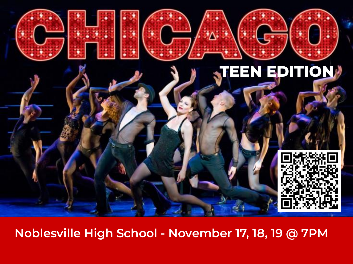

**Noblesville High School - November 17, 18, 19 @ 7PM**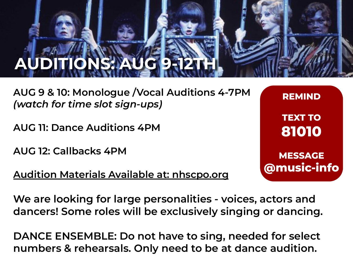# **AUDITIONS: AUG 9-12TH**

**AUG 9 & 10: Monologue /Vocal Auditions 4-7PM**  *(watch for time slot sign-ups)*

**AUG 11: Dance Auditions 4PM**

**AUG 12: Callbacks 4PM**

### **Audition Materials Available at: nhscpo.org**

**REMIND TEXT TO 81010 MESSAGE @music-info**

**We are looking for large personalities - voices, actors and dancers! Some roles will be exclusively singing or dancing.**

**DANCE ENSEMBLE: Do not have to sing, needed for select numbers & rehearsals. Only need to be at dance audition.**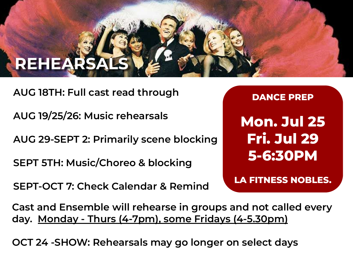### **REHEARSAL**

**AUG 18TH: Full cast read through**

**AUG 19/25/26: Music rehearsals**

**AUG 29-SEPT 2: Primarily scene blocking**

**SEPT 5TH: Music/Choreo & blocking**

**SEPT-OCT 7: Check Calendar & Remind**

**DANCE PREP Mon. Jul 25 Fri. Jul 29 5-6:30PM**

**LA FITNESS NOBLES.**

**Cast and Ensemble will rehearse in groups and not called every day. Monday - Thurs (4-7pm), some Fridays (4-5.30pm)**

**OCT 24 -SHOW: Rehearsals may go longer on select days**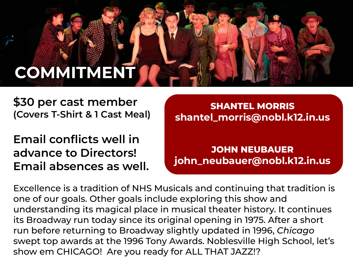### **COMMITMENT**

**\$30 per cast member (Covers T-Shirt & 1 Cast Meal)** 

**Email conflicts well in advance to Directors! Email absences as well.** 

**SHANTEL MORRIS shantel\_morris@nobl.k12.in.us**

**JOHN NEUBAUER john\_neubauer@nobl.k12.in.us**

Excellence is a tradition of NHS Musicals and continuing that tradition is one of our goals. Other goals include exploring this show and understanding its magical place in musical theater history. It continues its Broadway run today since its original opening in 1975. After a short run before returning to Broadway slightly updated in 1996, *Chicago* swept top awards at the 1996 Tony Awards. Noblesville High School, let's show em CHICAGO! Are you ready for ALL THAT JAZZ!?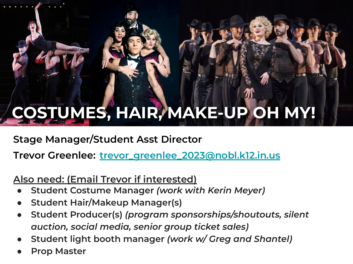## **COSTUMES, HAIR, MAKE-UP OH MY!**

**Stage Manager/Student Asst Director**

**Trevor Greenlee: [trevor\\_greenlee\\_2023@nobl.k12.in.us](mailto:trevor_greenlee_2023@nobl.k12.in.us)**

### **Also need: (Email Trevor if interested)**

- **Student Costume Manager** *(work with Kerin Meyer)*
- **Student Hair/Makeup Manager(s)**
- **Student Producer(s)** *(program sponsorships/shoutouts, silent auction, social media, senior group ticket sales)*
- **Student light booth manager** *(work w/ Greg and Shantel)*
- **Prop Master**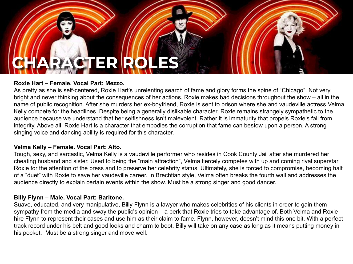## **CHARACTER ROLES**

#### **Roxie Hart – Female. Vocal Part: Mezzo.**

As pretty as she is self-centered, Roxie Hart's unrelenting search of fame and glory forms the spine of "Chicago". Not very bright and never thinking about the consequences of her actions, Roxie makes bad decisions throughout the show – all in the name of public recognition. After she murders her ex-boyfriend, Roxie is sent to prison where she and vaudeville actress Velma Kelly compete for the headlines. Despite being a generally dislikable character, Roxie remains strangely sympathetic to the audience because we understand that her selfishness isn't malevolent. Rather it is immaturity that propels Roxie's fall from integrity. Above all, Roxie Hart is a character that embodies the corruption that fame can bestow upon a person. A strong singing voice and dancing ability is required for this character.

#### **Velma Kelly – Female. Vocal Part: Alto.**

Tough, sexy, and sarcastic, Velma Kelly is a vaudeville performer who resides in Cook County Jail after she murdered her cheating husband and sister. Used to being the "main attraction", Velma fiercely competes with up and coming rival superstar Roxie for the attention of the press and to preserve her celebrity status. Ultimately, she is forced to compromise, becoming half of a "duet" with Roxie to save her vaudeville career. In Brechtian style, Velma often breaks the fourth wall and addresses the audience directly to explain certain events within the show. Must be a strong singer and good dancer.

#### **Billy Flynn – Male. Vocal Part: Baritone.**

Suave, educated, and very manipulative, Billy Flynn is a lawyer who makes celebrities of his clients in order to gain them sympathy from the media and sway the public's opinion – a perk that Roxie tries to take advantage of. Both Velma and Roxie hire Flynn to represent their cases and use him as their claim to fame. Flynn, however, doesn't mind this one bit. With a perfect track record under his belt and good looks and charm to boot, Billy will take on any case as long as it means putting money in his pocket. Must be a strong singer and move well.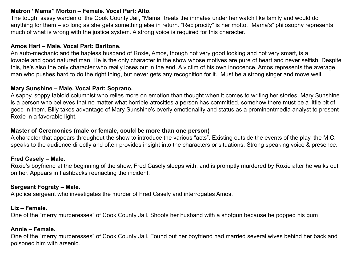#### **Matron "Mama" Morton – Female. Vocal Part: Alto.**

The tough, sassy warden of the Cook County Jail, "Mama" treats the inmates under her watch like family and would do anything for them – so long as she gets something else in return. "Reciprocity" is her motto. "Mama's" philosophy represents much of what is wrong with the justice system. A strong voice is required for this character.

#### **Amos Hart – Male. Vocal Part: Baritone.**

An auto-mechanic and the hapless husband of Roxie, Amos, though not very good looking and not very smart, is a lovable and good natured man. He is the only character in the show whose motives are pure of heart and never selfish. Despite this, he's also the only character who really loses out in the end. A victim of his own innocence, Amos represents the average man who pushes hard to do the right thing, but never gets any recognition for it. Must be a strong singer and move well.

#### **Mary Sunshine – Male. Vocal Part: Soprano.**

A sappy, soppy tabloid columnist who relies more on emotion than thought when it comes to writing her stories, Mary Sunshine is a person who believes that no matter what horrible atrocities a person has committed, somehow there must be a little bit of good in them. Billy takes advantage of Mary Sunshine's overly emotionality and status as a prominentmedia analyst to present Roxie in a favorable light.

#### **Master of Ceremonies (male or female, could be more than one person)**

A character that appears throughout the show to introduce the various "acts". Existing outside the events of the play, the M.C. speaks to the audience directly and often provides insight into the characters or situations. Strong speaking voice & presence.

#### **Fred Casely – Male.**

Roxie's boyfriend at the beginning of the show, Fred Casely sleeps with, and is promptly murdered by Roxie after he walks out on her. Appears in flashbacks reenacting the incident.

#### **Sergeant Fograty – Male.**

A police sergeant who investigates the murder of Fred Casely and interrogates Amos.

#### **Liz – Female.**

One of the "merry murderesses" of Cook County Jail. Shoots her husband with a shotgun because he popped his gum

#### **Annie – Female.**

One of the "merry murderesses" of Cook County Jail. Found out her boyfriend had married several wives behind her back and poisoned him with arsenic.